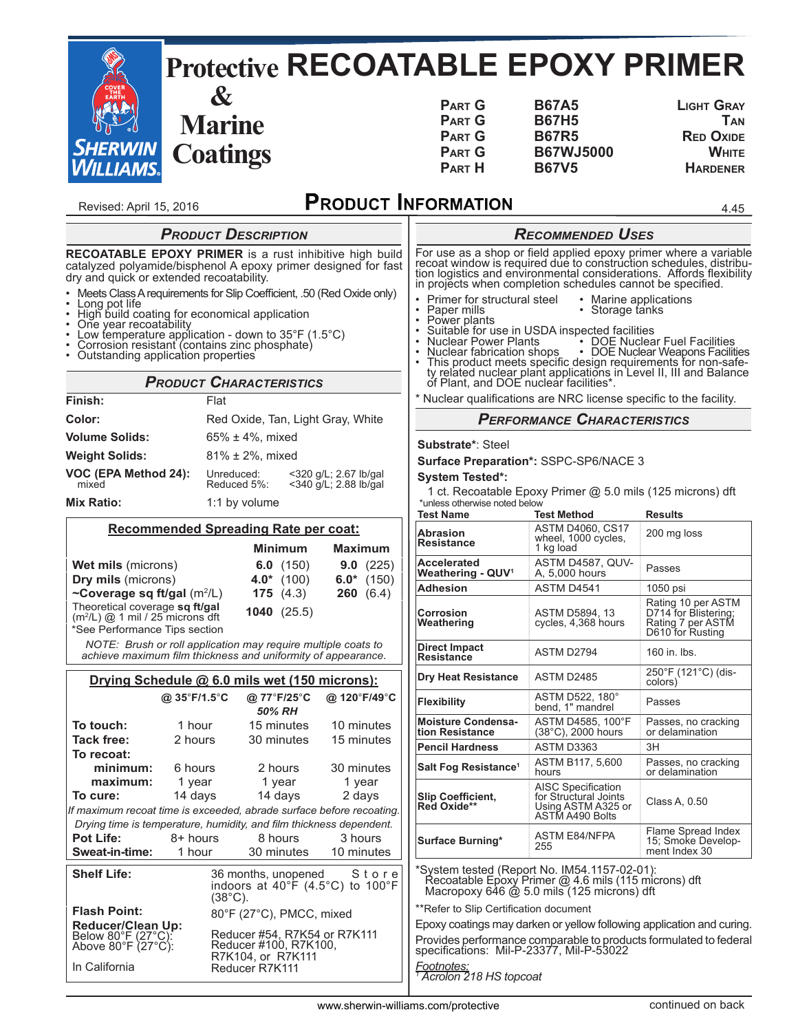|                                                                                                                                                                                                                                                                                                                                                                                                                                                                                               |                                                           |                                                                                 |                                                     | <b>Protective RECOATABLE EPOXY PRIMER</b>                                                                                                                                                                                                                                                                                                                                                                                                          |                                                                                                    |                                                                                                                                                                                                                                        |
|-----------------------------------------------------------------------------------------------------------------------------------------------------------------------------------------------------------------------------------------------------------------------------------------------------------------------------------------------------------------------------------------------------------------------------------------------------------------------------------------------|-----------------------------------------------------------|---------------------------------------------------------------------------------|-----------------------------------------------------|----------------------------------------------------------------------------------------------------------------------------------------------------------------------------------------------------------------------------------------------------------------------------------------------------------------------------------------------------------------------------------------------------------------------------------------------------|----------------------------------------------------------------------------------------------------|----------------------------------------------------------------------------------------------------------------------------------------------------------------------------------------------------------------------------------------|
| <b>SHERWIN</b><br><b>WILLIAMS.</b>                                                                                                                                                                                                                                                                                                                                                                                                                                                            | $\boldsymbol{\alpha}$<br><b>Marine</b><br><b>Coatings</b> |                                                                                 |                                                     | <b>PART G</b><br><b>PART G</b><br><b>PART G</b><br><b>PART G</b><br><b>PART H</b>                                                                                                                                                                                                                                                                                                                                                                  | <b>B67A5</b><br><b>B67H5</b><br><b>B67R5</b><br><b>B67WJ5000</b><br><b>B67V5</b>                   | <b>LIGHT GRAY</b><br><b>TAN</b><br><b>RED OXIDE</b><br><b>WHITE</b><br><b>HARDENER</b>                                                                                                                                                 |
| Revised: April 15, 2016                                                                                                                                                                                                                                                                                                                                                                                                                                                                       |                                                           |                                                                                 |                                                     | <b>PRODUCT INFORMATION</b>                                                                                                                                                                                                                                                                                                                                                                                                                         |                                                                                                    | 4.45                                                                                                                                                                                                                                   |
|                                                                                                                                                                                                                                                                                                                                                                                                                                                                                               | <b>PRODUCT DESCRIPTION</b>                                |                                                                                 |                                                     |                                                                                                                                                                                                                                                                                                                                                                                                                                                    | <b>RECOMMENDED USES</b>                                                                            |                                                                                                                                                                                                                                        |
| RECOATABLE EPOXY PRIMER is a rust inhibitive high build<br>catalyzed polyamide/bisphenol A epoxy primer designed for fast<br>dry and quick or extended recoatability.<br>Meets Class A requirements for Slip Coefficient, .50 (Red Oxide only)<br>• Long pot life<br>• High build coating for economical application<br>• One year recoatability<br>Low temperature application - down to 35°F (1.5°C)<br>Corrosion resistant (contains zinc phosphate)<br>Outstanding application properties |                                                           |                                                                                 |                                                     | For use as a shop or field applied epoxy primer where a variable recoat window is required due to construction schedules, distribution logistics and environmental considerations. Affords flexibility in projects when comple<br>Primer for structural steel<br>• Marine applications<br>· Storage tanks<br>Paper mills<br>Power plants<br>Suitable for use in USDA inspected facilities<br>Nuclear Power Plants<br>• DOE Nuclear Fuel Facilities |                                                                                                    |                                                                                                                                                                                                                                        |
|                                                                                                                                                                                                                                                                                                                                                                                                                                                                                               |                                                           |                                                                                 |                                                     |                                                                                                                                                                                                                                                                                                                                                                                                                                                    |                                                                                                    | Nuclear fabrication shops<br>• DOE Nuclear Weapons Facilities<br>This product meets specific design requirements for non-safe-<br>ty related nuclear plant applications in Level II, III and Balance<br>of Plant, and DOE nuclear faci |
|                                                                                                                                                                                                                                                                                                                                                                                                                                                                                               |                                                           | <b>PRODUCT CHARACTERISTICS</b>                                                  |                                                     |                                                                                                                                                                                                                                                                                                                                                                                                                                                    |                                                                                                    |                                                                                                                                                                                                                                        |
| Finish:                                                                                                                                                                                                                                                                                                                                                                                                                                                                                       | Flat                                                      |                                                                                 |                                                     | * Nuclear qualifications are NRC license specific to the facility.                                                                                                                                                                                                                                                                                                                                                                                 |                                                                                                    |                                                                                                                                                                                                                                        |
| Color:<br><b>Volume Solids:</b>                                                                                                                                                                                                                                                                                                                                                                                                                                                               |                                                           | Red Oxide, Tan, Light Gray, White<br>65% ± 4%, mixed                            |                                                     |                                                                                                                                                                                                                                                                                                                                                                                                                                                    | <b>PERFORMANCE CHARACTERISTICS</b>                                                                 |                                                                                                                                                                                                                                        |
| <b>Weight Solids:</b>                                                                                                                                                                                                                                                                                                                                                                                                                                                                         |                                                           | 81% ± 2%, mixed                                                                 |                                                     | Substrate*: Steel                                                                                                                                                                                                                                                                                                                                                                                                                                  |                                                                                                    |                                                                                                                                                                                                                                        |
| VOC (EPA Method 24):<br>mixed                                                                                                                                                                                                                                                                                                                                                                                                                                                                 | Unreduced:<br>Reduced 5%:                                 |                                                                                 | <320 g/L; 2.67 lb/gal<br><340 g/L; 2.88 lb/gal      | Surface Preparation*: SSPC-SP6/NACE 3<br><b>System Tested*:</b>                                                                                                                                                                                                                                                                                                                                                                                    | 1 ct. Recoatable Epoxy Primer @ 5.0 mils (125 microns) dft                                         |                                                                                                                                                                                                                                        |
| <b>Mix Ratio:</b>                                                                                                                                                                                                                                                                                                                                                                                                                                                                             |                                                           | 1:1 by volume                                                                   |                                                     | *unless otherwise noted below<br><b>Test Name</b>                                                                                                                                                                                                                                                                                                                                                                                                  | <b>Test Method</b>                                                                                 | <b>Results</b>                                                                                                                                                                                                                         |
|                                                                                                                                                                                                                                                                                                                                                                                                                                                                                               |                                                           | <b>Recommended Spreading Rate per coat:</b><br><b>Minimum</b>                   | <b>Maximum</b>                                      | <b>Abrasion</b><br>Resistance                                                                                                                                                                                                                                                                                                                                                                                                                      | <b>ASTM D4060, CS17</b><br>wheel, 1000 cycles,<br>1 kg load                                        | 200 mg loss                                                                                                                                                                                                                            |
| <b>Wet mils (microns)</b><br>Dry mils (microns)                                                                                                                                                                                                                                                                                                                                                                                                                                               |                                                           | 6.0 $(150)$<br>4.0* $(100)$                                                     | 9.0(225)<br>$6.0*$ (150)                            | Accelerated<br>Weathering - QUV <sup>1</sup>                                                                                                                                                                                                                                                                                                                                                                                                       | ASTM D4587, QUV-<br>A, 5,000 hours                                                                 | Passes                                                                                                                                                                                                                                 |
| ~Coverage sq ft/gal (m <sup>2</sup> /L)<br>Theoretical coverage sq ft/gal<br>(m <sup>2</sup> /L) @ 1 mil / 25 microns dft<br>'See Performance Tips section                                                                                                                                                                                                                                                                                                                                    |                                                           | 175(4.3)<br>1040(25.5)                                                          | <b>260</b> $(6.4)$                                  | <b>Adhesion</b><br>Corrosion<br>Weathering                                                                                                                                                                                                                                                                                                                                                                                                         | ASTM D4541<br>ASTM D5894, 13<br>cycles, 4,368 hours                                                | 1050 psi<br>Rating 10 per ASTM<br>D714 for Blistering;<br>Rating 7 per ASTM<br>D610 for Rusting                                                                                                                                        |
| achieve maximum film thickness and uniformity of appearance.                                                                                                                                                                                                                                                                                                                                                                                                                                  |                                                           | NOTE: Brush or roll application may require multiple coats to                   |                                                     | <b>Direct Impact</b><br>Resistance                                                                                                                                                                                                                                                                                                                                                                                                                 | ASTM D2794                                                                                         | 160 in. lbs.                                                                                                                                                                                                                           |
|                                                                                                                                                                                                                                                                                                                                                                                                                                                                                               |                                                           | Drying Schedule @ 6.0 mils wet (150 microns):                                   |                                                     | <b>Dry Heat Resistance</b>                                                                                                                                                                                                                                                                                                                                                                                                                         | ASTM D2485                                                                                         | 250°F (121°C) (dis-<br>colors)                                                                                                                                                                                                         |
|                                                                                                                                                                                                                                                                                                                                                                                                                                                                                               | @ 35°F/1.5°C                                              | @ 77°F/25°C<br>50% RH                                                           | @ 120°F/49°C                                        | <b>Flexibility</b>                                                                                                                                                                                                                                                                                                                                                                                                                                 | ASTM D522, 180°<br>bend, 1" mandrel                                                                | Passes                                                                                                                                                                                                                                 |
| To touch:<br><b>Tack free:</b>                                                                                                                                                                                                                                                                                                                                                                                                                                                                | 1 hour<br>2 hours                                         | 15 minutes<br>30 minutes                                                        | 10 minutes<br>15 minutes                            | <b>Moisture Condensa-</b><br>tion Resistance                                                                                                                                                                                                                                                                                                                                                                                                       | ASTM D4585, 100°F<br>$(38^{\circ}C)$ , 2000 hours                                                  | Passes, no cracking<br>or delamination                                                                                                                                                                                                 |
| To recoat:                                                                                                                                                                                                                                                                                                                                                                                                                                                                                    |                                                           |                                                                                 |                                                     | <b>Pencil Hardness</b>                                                                                                                                                                                                                                                                                                                                                                                                                             | ASTM D3363                                                                                         | 3H                                                                                                                                                                                                                                     |
| minimum:<br>maximum:                                                                                                                                                                                                                                                                                                                                                                                                                                                                          | 6 hours                                                   | 2 hours                                                                         | 30 minutes                                          | Salt Fog Resistance <sup>1</sup>                                                                                                                                                                                                                                                                                                                                                                                                                   | ASTM B117, 5,600<br>hours                                                                          | Passes, no cracking<br>or delamination                                                                                                                                                                                                 |
| To cure:<br>If maximum recoat time is exceeded, abrade surface before recoating.<br>Drying time is temperature, humidity, and film thickness dependent.                                                                                                                                                                                                                                                                                                                                       | 1 year<br>14 days                                         | 1 year<br>14 days                                                               | 1 year<br>2 days                                    | <b>Slip Coefficient,</b><br>Red Oxide**                                                                                                                                                                                                                                                                                                                                                                                                            | <b>AISC Specification</b><br>for Structural Joints<br>Using ASTM A325 or<br>ASTM A490 Bolts        | Class A, 0.50                                                                                                                                                                                                                          |
| <b>Pot Life:</b><br>Sweat-in-time:                                                                                                                                                                                                                                                                                                                                                                                                                                                            | 8+ hours<br>1 hour                                        | 8 hours<br>30 minutes                                                           | 3 hours<br>10 minutes                               | <b>Surface Burning*</b>                                                                                                                                                                                                                                                                                                                                                                                                                            | <b>ASTM E84/NFPA</b><br>255                                                                        | Flame Spread Index<br>15; Smoke Develop-<br>ment Index 30                                                                                                                                                                              |
| <b>Shelf Life:</b><br><b>Flash Point:</b><br><b>Reducer/Clean Up:</b><br>Below 80°F (27°C):<br>Above 80°F (27°C):                                                                                                                                                                                                                                                                                                                                                                             | $(38^{\circ}C)$ .                                         | 36 months, unopened<br>80°F (27°C), PMCC, mixed<br>Reducer #54, R7K54 or R7K111 | Store<br>indoors at $40^{\circ}$ F (4.5°C) to 100°F | *System tested (Report No. IM54.1157-02-01):<br>** Refer to Slip Certification document                                                                                                                                                                                                                                                                                                                                                            | Recoatable Epoxy Primer @ 4.6 mils (115 microns) dft<br>Macropoxy 646 @ 5.0 mils (125 microns) dft | Epoxy coatings may darken or yellow following application and curing.<br>Provides performance comparable to products formulated to federal                                                                                             |
| In California                                                                                                                                                                                                                                                                                                                                                                                                                                                                                 |                                                           | Reducer #100, R7K100,<br>R7K104, or R7K111<br>Reducer R7K111                    |                                                     | specifications: Mil-P-23377, Mil-P-53022<br>Footnotes:<br><sup>1</sup> Acrolon 218 HS topcoat                                                                                                                                                                                                                                                                                                                                                      |                                                                                                    |                                                                                                                                                                                                                                        |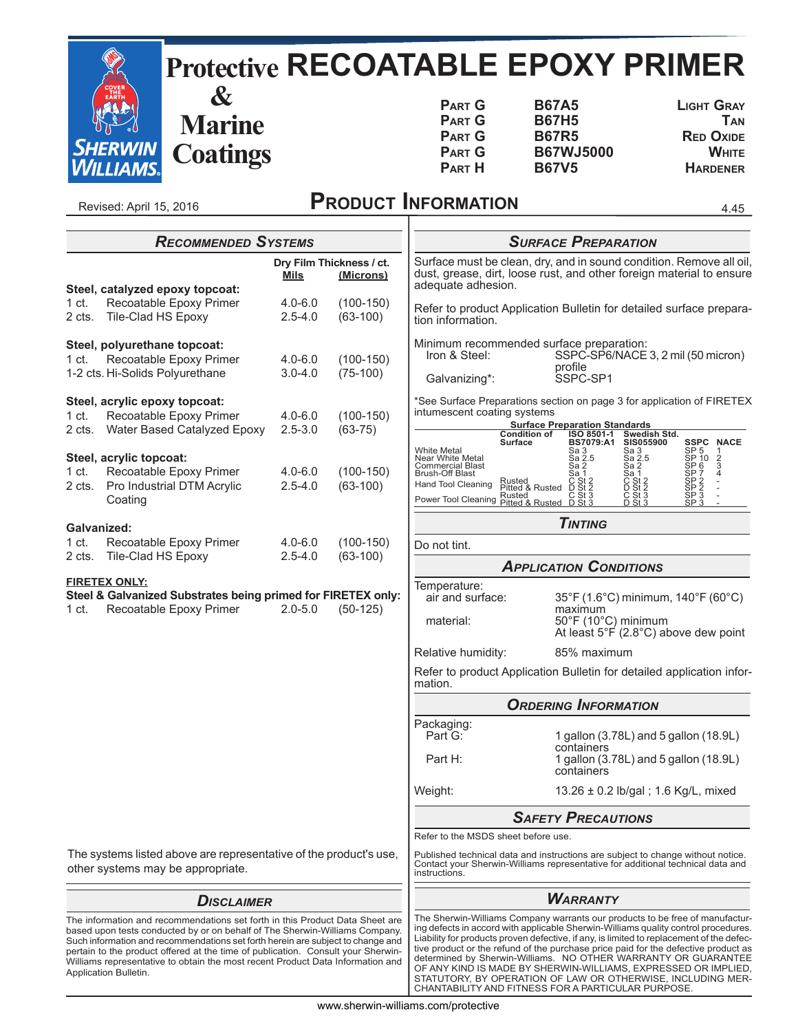|                            |                                                                 |                                                                                                        |                            |                                       |                                                                                                                            |                                                                                                                                                          | <b>Protective RECOATABLE EPOXY PRIMER</b>                                                                                                                                                                                                     |
|----------------------------|-----------------------------------------------------------------|--------------------------------------------------------------------------------------------------------|----------------------------|---------------------------------------|----------------------------------------------------------------------------------------------------------------------------|----------------------------------------------------------------------------------------------------------------------------------------------------------|-----------------------------------------------------------------------------------------------------------------------------------------------------------------------------------------------------------------------------------------------|
|                            | <i>SHERWIN<br/>WILLIAMS</i> .                                   | $\boldsymbol{\alpha}$<br><b>Marine</b><br><b>Coatings</b>                                              |                            |                                       | <b>PART G</b><br><b>PART G</b><br><b>PART G</b><br><b>PART G</b><br><b>PART H</b>                                          | <b>B67A5</b><br><b>B67H5</b><br><b>B67R5</b><br><b>B67WJ5000</b><br><b>B67V5</b>                                                                         | <b>LIGHT GRAY</b><br><b>TAN</b><br><b>RED OXIDE</b><br><b>WHITE</b><br><b>HARDENER</b>                                                                                                                                                        |
|                            | Revised: April 15, 2016                                         |                                                                                                        |                            |                                       | <b>PRODUCT INFORMATION</b>                                                                                                 |                                                                                                                                                          | 4.45                                                                                                                                                                                                                                          |
|                            |                                                                 | <b>RECOMMENDED SYSTEMS</b>                                                                             |                            |                                       |                                                                                                                            | <b>SURFACE PREPARATION</b>                                                                                                                               |                                                                                                                                                                                                                                               |
|                            |                                                                 |                                                                                                        | <u>Mils</u>                | Dry Film Thickness / ct.<br>(Microns) | adequate adhesion.                                                                                                         |                                                                                                                                                          | Surface must be clean, dry, and in sound condition. Remove all oil,<br>dust, grease, dirt, loose rust, and other foreign material to ensure                                                                                                   |
| 1 ct.<br>2 cts.            | Tile-Clad HS Epoxy                                              | Steel, catalyzed epoxy topcoat:<br>Recoatable Epoxy Primer                                             | $4.0 - 6.0$<br>$2.5 - 4.0$ | $(100-150)$<br>$(63-100)$             | tion information.                                                                                                          |                                                                                                                                                          | Refer to product Application Bulletin for detailed surface prepara-                                                                                                                                                                           |
| 1 ct.                      | Steel, polyurethane topcoat:<br>1-2 cts. Hi-Solids Polyurethane | Recoatable Epoxy Primer                                                                                | $4.0 - 6.0$<br>$3.0 - 4.0$ | $(100-150)$<br>$(75-100)$             | Iron & Steel:<br>Galvanizing*:                                                                                             | Minimum recommended surface preparation:<br>profile<br>SSPC-SP1                                                                                          | SSPC-SP6/NACE 3, 2 mil (50 micron)                                                                                                                                                                                                            |
| 1 <sub>ct.</sub><br>2 cts. | Steel, acrylic epoxy topcoat:                                   | Recoatable Epoxy Primer<br>Water Based Catalyzed Epoxy                                                 | $4.0 - 6.0$<br>$2.5 - 3.0$ | $(100-150)$<br>$(63 - 75)$            | intumescent coating systems                                                                                                | <b>Surface Preparation Standards</b><br><b>Condition of</b><br>ISO 8501-1                                                                                | *See Surface Preparations section on page 3 for application of FIRETEX<br>Swedish Std.                                                                                                                                                        |
| 1 ct.<br>2 cts.            | Steel, acrylic topcoat:<br>Coating                              | Recoatable Epoxy Primer<br>Pro Industrial DTM Acrylic                                                  | $4.0 - 6.0$<br>$2.5 - 4.0$ | $(100-150)$<br>$(63-100)$             | White Metal<br>Near White Metal<br>Commercial Blast<br><b>Brush-Off Blast</b><br>Hand Tool Cleaning<br>Power Tool Cleaning | <b>BS7079:A1</b><br>Surface<br>Sa 3<br>Sa 2.5<br>Sa 2<br>Sa 1<br>C St 2<br>D St 2<br>C St 3<br>D St 3<br>Rusted<br>Pitted & Rusted<br>Rusted<br>Pitted & | <b>SSPC NACE</b><br><b>SIS055900</b><br>SP 5<br>SP 10<br>Sa 3<br>Sa 2.5<br>$\frac{2}{3}$<br>SP 6<br>Sa 2<br>SP 7<br>Sa 1<br>SP <sub>2</sub><br>SP <sub>2</sub><br>SP <sub>3</sub><br>C St 2<br>D St 2<br>C St 3<br>D St 3<br>$\overline{SP}3$ |
| Galvanized:                |                                                                 |                                                                                                        |                            |                                       |                                                                                                                            | <b>TINTING</b>                                                                                                                                           |                                                                                                                                                                                                                                               |
| 1 ct.<br>2 cts.            | Tile-Clad HS Epoxy                                              | Recoatable Epoxy Primer                                                                                | $4.0 - 6.0$<br>$2.5 - 4.0$ | $(100-150)$<br>$(63-100)$             | Do not tint.                                                                                                               |                                                                                                                                                          |                                                                                                                                                                                                                                               |
| 1 ct.                      | <b>FIRETEX ONLY:</b>                                            | Steel & Galvanized Substrates being primed for FIRETEX only:<br>Recoatable Epoxy Primer                | $2.0 - 5.0$                | $(50-125)$                            | Temperature:<br>air and surface:<br>material:                                                                              | <b>APPLICATION CONDITIONS</b><br>maximum<br>50°F (10°C) minimum                                                                                          | 35°F (1.6°C) minimum, 140°F (60°C)<br>At least $5^{\circ}$ F (2.8 $^{\circ}$ C) above dew point                                                                                                                                               |
|                            |                                                                 |                                                                                                        |                            |                                       | Relative humidity:                                                                                                         | 85% maximum                                                                                                                                              |                                                                                                                                                                                                                                               |
|                            |                                                                 |                                                                                                        |                            |                                       | mation.                                                                                                                    |                                                                                                                                                          | Refer to product Application Bulletin for detailed application infor-                                                                                                                                                                         |
|                            |                                                                 |                                                                                                        |                            |                                       |                                                                                                                            | <b>ORDERING INFORMATION</b>                                                                                                                              |                                                                                                                                                                                                                                               |
|                            |                                                                 |                                                                                                        |                            |                                       | Packaging:<br>Part G:<br>Part H:                                                                                           | containers<br>containers                                                                                                                                 | 1 gallon (3.78L) and 5 gallon (18.9L)<br>1 gallon (3.78L) and 5 gallon (18.9L)                                                                                                                                                                |
|                            |                                                                 |                                                                                                        |                            |                                       | Weight:                                                                                                                    |                                                                                                                                                          | 13.26 ± 0.2 lb/gal; 1.6 Kg/L, mixed                                                                                                                                                                                                           |
|                            |                                                                 |                                                                                                        | <b>SAFETY PRECAUTIONS</b>  |                                       |                                                                                                                            |                                                                                                                                                          |                                                                                                                                                                                                                                               |
|                            |                                                                 |                                                                                                        |                            |                                       | Refer to the MSDS sheet before use.                                                                                        |                                                                                                                                                          |                                                                                                                                                                                                                                               |
|                            |                                                                 | The systems listed above are representative of the product's use,<br>other systems may be appropriate. |                            |                                       | instructions.                                                                                                              |                                                                                                                                                          | Published technical data and instructions are subject to change without notice.<br>Contact your Sherwin-Williams representative for additional technical data and                                                                             |
|                            |                                                                 |                                                                                                        |                            |                                       |                                                                                                                            | $M$ <sub>ADDANTY</sub>                                                                                                                                   |                                                                                                                                                                                                                                               |

## *Disclaimer*

The information and recommendations set forth in this Product Data Sheet are based upon tests conducted by or on behalf of The Sherwin-Williams Company. Such information and recommendations set forth herein are subject to change and pertain to the product offered at the time of publication. Consult your Sherwin-Williams representative to obtain the most recent Product Data Information and Application Bulletin.

The Sherwin-Williams Company warrants our products to be free of manufacturing defects in accord with applicable Sherwin-Williams quality control procedures. Liability for products proven defective, if any, is limited to replacement of the defective product or the refund of the purchase price paid for the defective product as<br>determined by Sherwin-Williams. NO OTHER WARRANTY OR GUARANTEE<br>OF ANY KIND IS MADE BY SHERWIN-WILLIAMS, EXPRESSED OR IMPLIED,<br>STATUTORY, BY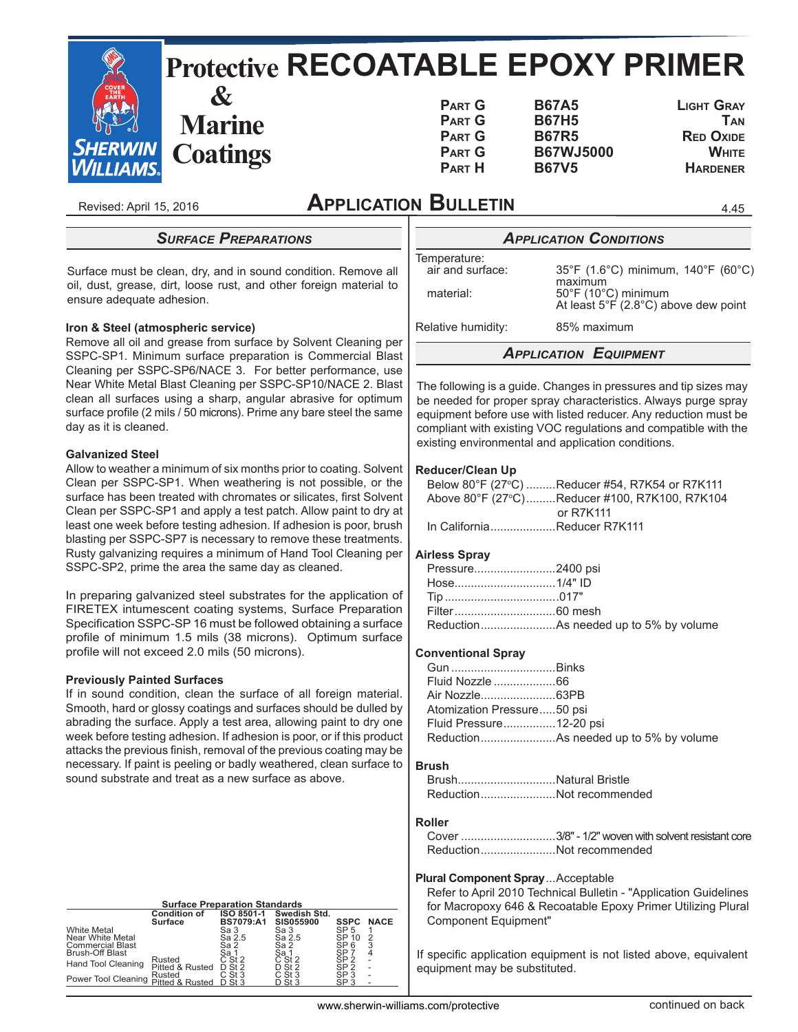

Revised: April 15, 2016

# **Application Bulletin**

*Surface Preparations*

Surface must be clean, dry, and in sound condition. Remove all oil, dust, grease, dirt, loose rust, and other foreign material to ensure adequate adhesion.

#### **Iron & Steel (atmospheric service)**

Remove all oil and grease from surface by Solvent Cleaning per SSPC-SP1. Minimum surface preparation is Commercial Blast Cleaning per SSPC-SP6/NACE 3. For better performance, use Near White Metal Blast Cleaning per SSPC-SP10/NACE 2. Blast clean all surfaces using a sharp, angular abrasive for optimum surface profile (2 mils / 50 microns). Prime any bare steel the same day as it is cleaned.

#### **Galvanized Steel**

Allow to weather a minimum of six months prior to coating. Solvent Clean per SSPC-SP1. When weathering is not possible, or the surface has been treated with chromates or silicates, first Solvent Clean per SSPC-SP1 and apply a test patch. Allow paint to dry at least one week before testing adhesion. If adhesion is poor, brush blasting per SSPC-SP7 is necessary to remove these treatments. Rusty galvanizing requires a minimum of Hand Tool Cleaning per SSPC-SP2, prime the area the same day as cleaned.

In preparing galvanized steel substrates for the application of FIRETEX intumescent coating systems, Surface Preparation Specification SSPC-SP 16 must be followed obtaining a surface profile of minimum 1.5 mils (38 microns). Optimum surface profile will not exceed 2.0 mils (50 microns).

#### **Previously Painted Surfaces**

If in sound condition, clean the surface of all foreign material. Smooth, hard or glossy coatings and surfaces should be dulled by abrading the surface. Apply a test area, allowing paint to dry one week before testing adhesion. If adhesion is poor, or if this product attacks the previous finish, removal of the previous coating may be necessary. If paint is peeling or badly weathered, clean surface to sound substrate and treat as a new surface as above.

## **Surface Preparation Standards**

|                         | <b>Condition of</b><br>Surface | ISO 8501-1<br><b>BS7079:A1</b> | Swedish Std.<br><b>SIS055900</b> | <b>SSPC</b>                        | <b>NACE</b> |
|-------------------------|--------------------------------|--------------------------------|----------------------------------|------------------------------------|-------------|
| <b>White Metal</b>      |                                | Sa 3                           | Sa 3                             | SP <sub>5</sub>                    |             |
| Near White Metal        |                                | Sa 2.5                         | Sa 2.5                           | SP 10                              | 2           |
| <b>Commercial Blast</b> |                                | Sa 2                           | Sa 2                             | SP <sub>6</sub>                    | 3           |
| Brush-Off Blast         |                                | Sa 1                           | Sa 1                             | SP                                 | 4           |
| Hand Tool Cleaning      | Rusted                         | C St 2                         | C St 2                           | SP <sub>2</sub><br>SP <sub>2</sub> |             |
|                         | Pitted & Rusted                | $D$ St 2                       | D St 2                           |                                    |             |
| Power Tool Cleaning     | Rusted                         | $C$ St 3                       | C St 3                           | SP <sub>3</sub>                    |             |
|                         | Pitted & Rusted                |                                |                                  | SP.                                |             |

*Application Conditions* Temperature:<br>air and surface: air and surface:  $35^{\circ}F$  (1.6°C) minimum, 140°F (60°C)<br>maximum<br> $50^{\circ}F$  (10°C) minimum At least  $5^{\circ}$  F (2.8°C) above dew point

Relative humidity: 85% maximum

4.45

## *Application Equipment*

The following is a guide. Changes in pressures and tip sizes may be needed for proper spray characteristics. Always purge spray equipment before use with listed reducer. Any reduction must be compliant with existing VOC regulations and compatible with the existing environmental and application conditions.

#### **Reducer/Clean Up**

| Below 80°F (27°C) Reducer #54, R7K54 or R7K111 |
|------------------------------------------------|
| Above 80°F (27°C)Reducer #100, R7K100, R7K104  |
| or R7K111                                      |
| In California Reducer R7K111                   |

## **Airless Spray**

| Pressure2400 psi |  |
|------------------|--|
|                  |  |
|                  |  |
|                  |  |
|                  |  |

## **Conventional Spray**

| Atomization Pressure50 psi |  |
|----------------------------|--|
| Fluid Pressure12-20 psi    |  |
|                            |  |

#### **Brush**

| BrushNatural Bristle |                          |
|----------------------|--------------------------|
|                      | ReductionNot recommended |

# **Roller**

| ReductionNot recommended |
|--------------------------|

#### **Plural Component Spray** ...Acceptable

 Refer to April 2010 Technical Bulletin - "Application Guidelines for Macropoxy 646 & Recoatable Epoxy Primer Utilizing Plural Component Equipment"

If specific application equipment is not listed above, equivalent equipment may be substituted.